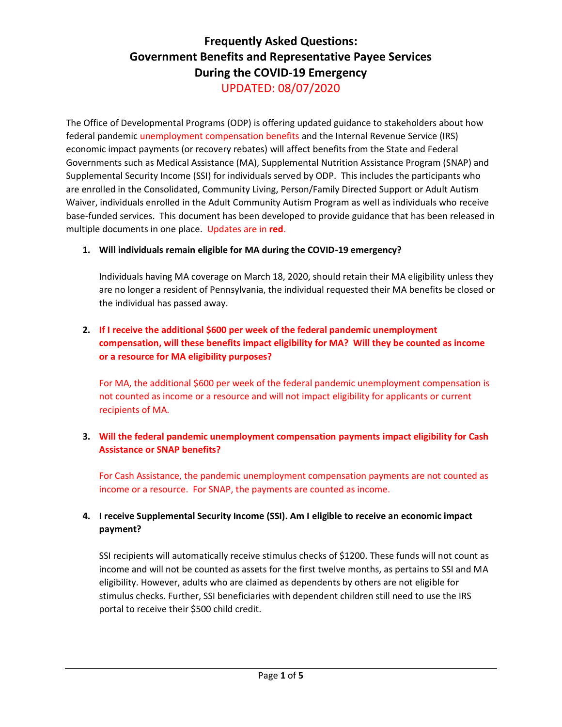# **Frequently Asked Questions: Government Benefits and Representative Payee Services During the COVID-19 Emergency** UPDATED: 08/07/2020

The Office of Developmental Programs (ODP) is offering updated guidance to stakeholders about how federal pandemic unemployment compensation benefits and the Internal Revenue Service (IRS) economic impact payments (or recovery rebates) will affect benefits from the State and Federal Governments such as Medical Assistance (MA), Supplemental Nutrition Assistance Program (SNAP) and Supplemental Security Income (SSI) for individuals served by ODP. This includes the participants who are enrolled in the Consolidated, Community Living, Person/Family Directed Support or Adult Autism Waiver, individuals enrolled in the Adult Community Autism Program as well as individuals who receive base-funded services. This document has been developed to provide guidance that has been released in multiple documents in one place. Updates are in **red**.

## **1. Will individuals remain eligible for MA during the COVID-19 emergency?**

Individuals having MA coverage on March 18, 2020, should retain their MA eligibility unless they are no longer a resident of Pennsylvania, the individual requested their MA benefits be closed or the individual has passed away.

# **2. If I receive the additional \$600 per week of the federal pandemic unemployment compensation, will these benefits impact eligibility for MA? Will they be counted as income or a resource for MA eligibility purposes?**

For MA, the additional \$600 per week of the federal pandemic unemployment compensation is not counted as income or a resource and will not impact eligibility for applicants or current recipients of MA.

## **3. Will the federal pandemic unemployment compensation payments impact eligibility for Cash Assistance or SNAP benefits?**

For Cash Assistance, the pandemic unemployment compensation payments are not counted as income or a resource. For SNAP, the payments are counted as income.

# **4. I receive Supplemental Security Income (SSI). Am I eligible to receive an economic impact payment?**

SSI recipients will automatically receive stimulus checks of \$1200. These funds will not count as income and will not be counted as assets for the first twelve months, as pertains to SSI and MA eligibility. However, adults who are claimed as dependents by others are not eligible for stimulus checks. Further, SSI beneficiaries with dependent children still need to use the IRS portal to receive their \$500 child credit.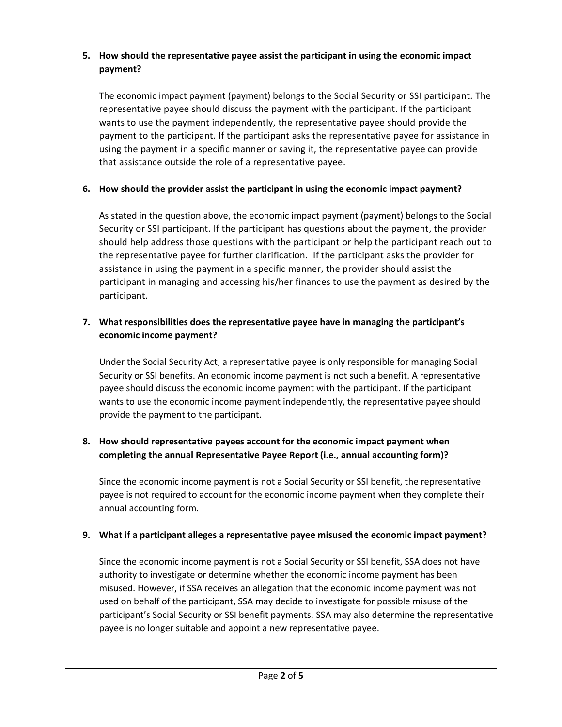## **5. How should the representative payee assist the participant in using the economic impact payment?**

The economic impact payment (payment) belongs to the Social Security or SSI participant. The representative payee should discuss the payment with the participant. If the participant wants to use the payment independently, the representative payee should provide the payment to the participant. If the participant asks the representative payee for assistance in using the payment in a specific manner or saving it, the representative payee can provide that assistance outside the role of a representative payee.

# **6. How should the provider assist the participant in using the economic impact payment?**

As stated in the question above, the economic impact payment (payment) belongs to the Social Security or SSI participant. If the participant has questions about the payment, the provider should help address those questions with the participant or help the participant reach out to the representative payee for further clarification. If the participant asks the provider for assistance in using the payment in a specific manner, the provider should assist the participant in managing and accessing his/her finances to use the payment as desired by the participant.

# **7. What responsibilities does the representative payee have in managing the participant's economic income payment?**

Under the Social Security Act, a representative payee is only responsible for managing Social Security or SSI benefits. An economic income payment is not such a benefit. A representative payee should discuss the economic income payment with the participant. If the participant wants to use the economic income payment independently, the representative payee should provide the payment to the participant.

# **8. How should representative payees account for the economic impact payment when completing the annual Representative Payee Report (i.e., annual accounting form)?**

Since the economic income payment is not a Social Security or SSI benefit, the representative payee is not required to account for the economic income payment when they complete their annual accounting form.

## **9. What if a participant alleges a representative payee misused the economic impact payment?**

Since the economic income payment is not a Social Security or SSI benefit, SSA does not have authority to investigate or determine whether the economic income payment has been misused. However, if SSA receives an allegation that the economic income payment was not used on behalf of the participant, SSA may decide to investigate for possible misuse of the participant's Social Security or SSI benefit payments. SSA may also determine the representative payee is no longer suitable and appoint a new representative payee.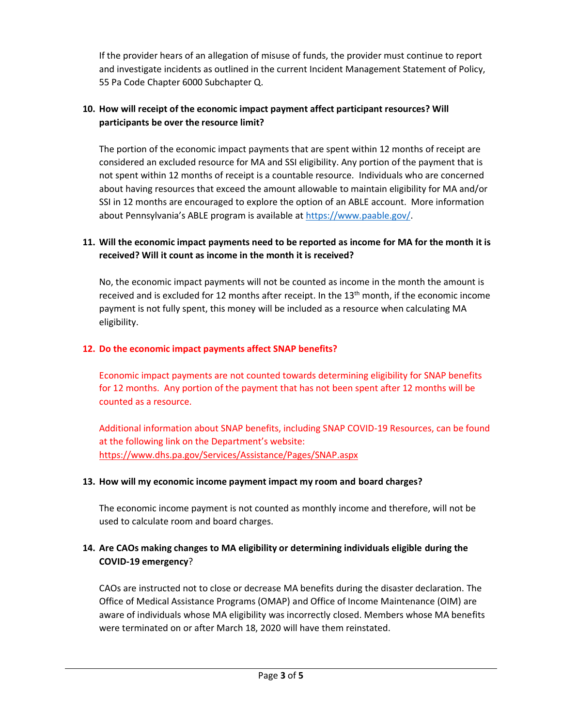If the provider hears of an allegation of misuse of funds, the provider must continue to report and investigate incidents as outlined in the current Incident Management Statement of Policy, 55 Pa Code Chapter 6000 Subchapter Q.

## **10. How will receipt of the economic impact payment affect participant resources? Will participants be over the resource limit?**

The portion of the economic impact payments that are spent within 12 months of receipt are considered an excluded resource for MA and SSI eligibility. Any portion of the payment that is not spent within 12 months of receipt is a countable resource. Individuals who are concerned about having resources that exceed the amount allowable to maintain eligibility for MA and/or SSI in 12 months are encouraged to explore the option of an ABLE account. More information about Pennsylvania's ABLE program is available at [https://www.paable.gov/.](https://www.paable.gov/)

## **11. Will the economic impact payments need to be reported as income for MA for the month it is received? Will it count as income in the month it is received?**

No, the economic impact payments will not be counted as income in the month the amount is received and is excluded for 12 months after receipt. In the  $13<sup>th</sup>$  month, if the economic income payment is not fully spent, this money will be included as a resource when calculating MA eligibility.

#### **12. Do the economic impact payments affect SNAP benefits?**

Economic impact payments are not counted towards determining eligibility for SNAP benefits for 12 months. Any portion of the payment that has not been spent after 12 months will be counted as a resource.

Additional information about SNAP benefits, including SNAP COVID-19 Resources, can be found at the following link on the Department's website: <https://www.dhs.pa.gov/Services/Assistance/Pages/SNAP.aspx>

#### **13. How will my economic income payment impact my room and board charges?**

The economic income payment is not counted as monthly income and therefore, will not be used to calculate room and board charges.

## **14. Are CAOs making changes to MA eligibility or determining individuals eligible during the COVID-19 emergency**?

CAOs are instructed not to close or decrease MA benefits during the disaster declaration. The Office of Medical Assistance Programs (OMAP) and Office of Income Maintenance (OIM) are aware of individuals whose MA eligibility was incorrectly closed. Members whose MA benefits were terminated on or after March 18, 2020 will have them reinstated.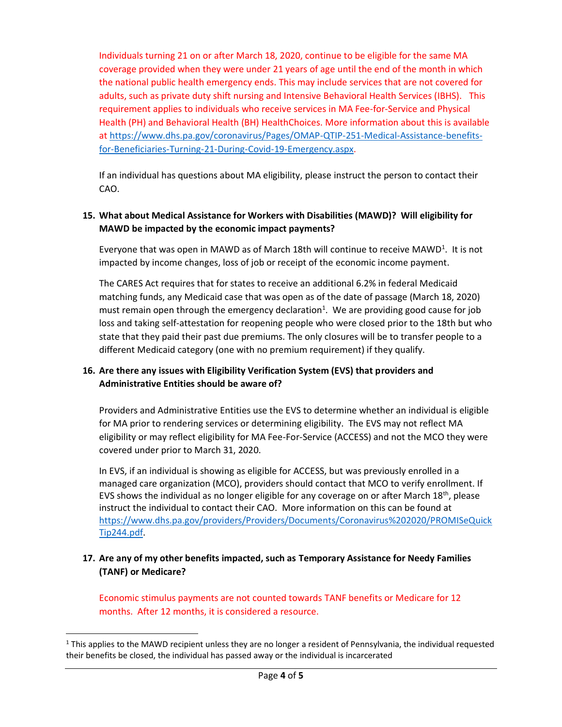Individuals turning 21 on or after March 18, 2020, continue to be eligible for the same MA coverage provided when they were under 21 years of age until the end of the month in which the national public health emergency ends. This may include services that are not covered for adults, such as private duty shift nursing and Intensive Behavioral Health Services (IBHS). This requirement applies to individuals who receive services in MA Fee-for-Service and Physical Health (PH) and Behavioral Health (BH) HealthChoices. More information about this is available a[t https://www.dhs.pa.gov/coronavirus/Pages/OMAP-QTIP-251-Medical-Assistance-benefits](https://www.dhs.pa.gov/coronavirus/Pages/OMAP-QTIP-251-Medical-Assistance-benefits-for-Beneficiaries-Turning-21-During-Covid-19-Emergency.aspx)[for-Beneficiaries-Turning-21-During-Covid-19-Emergency.aspx.](https://www.dhs.pa.gov/coronavirus/Pages/OMAP-QTIP-251-Medical-Assistance-benefits-for-Beneficiaries-Turning-21-During-Covid-19-Emergency.aspx)

If an individual has questions about MA eligibility, please instruct the person to contact their CAO.

#### **15. What about Medical Assistance for Workers with Disabilities (MAWD)? Will eligibility for MAWD be impacted by the economic impact payments?**

Everyone that was open in MAWD as of March 18th will continue to receive MAWD<sup>1</sup>. It is not impacted by income changes, loss of job or receipt of the economic income payment.

The CARES Act requires that for states to receive an additional 6.2% in federal Medicaid matching funds, any Medicaid case that was open as of the date of passage (March 18, 2020) must remain open through the emergency declaration<sup>1</sup>. We are providing good cause for job loss and taking self-attestation for reopening people who were closed prior to the 18th but who state that they paid their past due premiums. The only closures will be to transfer people to a different Medicaid category (one with no premium requirement) if they qualify.

#### **16. Are there any issues with Eligibility Verification System (EVS) that providers and Administrative Entities should be aware of?**

Providers and Administrative Entities use the EVS to determine whether an individual is eligible for MA prior to rendering services or determining eligibility. The EVS may not reflect MA eligibility or may reflect eligibility for MA Fee-For-Service (ACCESS) and not the MCO they were covered under prior to March 31, 2020.

In EVS, if an individual is showing as eligible for ACCESS, but was previously enrolled in a managed care organization (MCO), providers should contact that MCO to verify enrollment. If EVS shows the individual as no longer eligible for any coverage on or after March 18th, please instruct the individual to contact their CAO. More information on this can be found at [https://www.dhs.pa.gov/providers/Providers/Documents/Coronavirus%202020/PROMISeQuick](https://www.dhs.pa.gov/providers/Providers/Documents/Coronavirus%202020/PROMISeQuickTip244.pdf) [Tip244.pdf.](https://www.dhs.pa.gov/providers/Providers/Documents/Coronavirus%202020/PROMISeQuickTip244.pdf)

#### **17. Are any of my other benefits impacted, such as Temporary Assistance for Needy Families (TANF) or Medicare?**

Economic stimulus payments are not counted towards TANF benefits or Medicare for 12 months. After 12 months, it is considered a resource.

 $1$  This applies to the MAWD recipient unless they are no longer a resident of Pennsylvania, the individual requested their benefits be closed, the individual has passed away or the individual is incarcerated